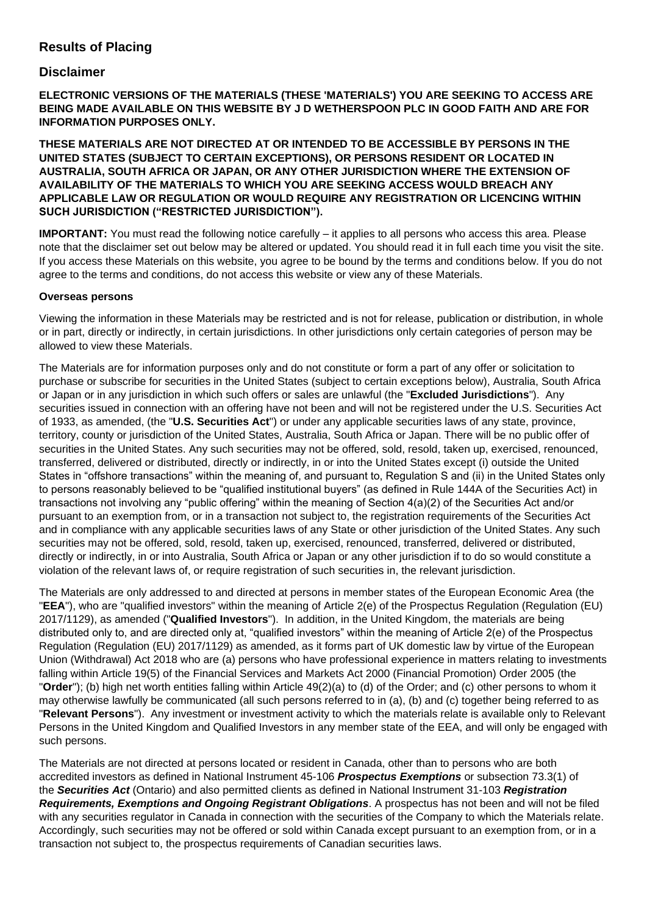## **Results of Placing**

### **Disclaimer**

**ELECTRONIC VERSIONS OF THE MATERIALS (THESE 'MATERIALS') YOU ARE SEEKING TO ACCESS ARE BEING MADE AVAILABLE ON THIS WEBSITE BY J D WETHERSPOON PLC IN GOOD FAITH AND ARE FOR INFORMATION PURPOSES ONLY.**

**THESE MATERIALS ARE NOT DIRECTED AT OR INTENDED TO BE ACCESSIBLE BY PERSONS IN THE UNITED STATES (SUBJECT TO CERTAIN EXCEPTIONS), OR PERSONS RESIDENT OR LOCATED IN AUSTRALIA, SOUTH AFRICA OR JAPAN, OR ANY OTHER JURISDICTION WHERE THE EXTENSION OF AVAILABILITY OF THE MATERIALS TO WHICH YOU ARE SEEKING ACCESS WOULD BREACH ANY APPLICABLE LAW OR REGULATION OR WOULD REQUIRE ANY REGISTRATION OR LICENCING WITHIN SUCH JURISDICTION ("RESTRICTED JURISDICTION").**

**IMPORTANT:** You must read the following notice carefully – it applies to all persons who access this area. Please note that the disclaimer set out below may be altered or updated. You should read it in full each time you visit the site. If you access these Materials on this website, you agree to be bound by the terms and conditions below. If you do not agree to the terms and conditions, do not access this website or view any of these Materials.

#### **Overseas persons**

Viewing the information in these Materials may be restricted and is not for release, publication or distribution, in whole or in part, directly or indirectly, in certain jurisdictions. In other jurisdictions only certain categories of person may be allowed to view these Materials.

The Materials are for information purposes only and do not constitute or form a part of any offer or solicitation to purchase or subscribe for securities in the United States (subject to certain exceptions below), Australia, South Africa or Japan or in any jurisdiction in which such offers or sales are unlawful (the "**Excluded Jurisdictions**"). Any securities issued in connection with an offering have not been and will not be registered under the U.S. Securities Act of 1933, as amended, (the "**U.S. Securities Act**") or under any applicable securities laws of any state, province, territory, county or jurisdiction of the United States, Australia, South Africa or Japan. There will be no public offer of securities in the United States. Any such securities may not be offered, sold, resold, taken up, exercised, renounced, transferred, delivered or distributed, directly or indirectly, in or into the United States except (i) outside the United States in "offshore transactions" within the meaning of, and pursuant to, Regulation S and (ii) in the United States only to persons reasonably believed to be "qualified institutional buyers" (as defined in Rule 144A of the Securities Act) in transactions not involving any "public offering" within the meaning of Section 4(a)(2) of the Securities Act and/or pursuant to an exemption from, or in a transaction not subject to, the registration requirements of the Securities Act and in compliance with any applicable securities laws of any State or other jurisdiction of the United States. Any such securities may not be offered, sold, resold, taken up, exercised, renounced, transferred, delivered or distributed, directly or indirectly, in or into Australia, South Africa or Japan or any other jurisdiction if to do so would constitute a violation of the relevant laws of, or require registration of such securities in, the relevant jurisdiction.

The Materials are only addressed to and directed at persons in member states of the European Economic Area (the "**EEA**"), who are "qualified investors" within the meaning of Article 2(e) of the Prospectus Regulation (Regulation (EU) 2017/1129), as amended ("**Qualified Investors**"). In addition, in the United Kingdom, the materials are being distributed only to, and are directed only at, "qualified investors" within the meaning of Article 2(e) of the Prospectus Regulation (Regulation (EU) 2017/1129) as amended, as it forms part of UK domestic law by virtue of the European Union (Withdrawal) Act 2018 who are (a) persons who have professional experience in matters relating to investments falling within Article 19(5) of the Financial Services and Markets Act 2000 (Financial Promotion) Order 2005 (the "**Order**"); (b) high net worth entities falling within Article 49(2)(a) to (d) of the Order; and (c) other persons to whom it may otherwise lawfully be communicated (all such persons referred to in (a), (b) and (c) together being referred to as "**Relevant Persons**"). Any investment or investment activity to which the materials relate is available only to Relevant Persons in the United Kingdom and Qualified Investors in any member state of the EEA, and will only be engaged with such persons.

The Materials are not directed at persons located or resident in Canada, other than to persons who are both accredited investors as defined in National Instrument 45-106 *Prospectus Exemptions* or subsection 73.3(1) of the *Securities Act* (Ontario) and also permitted clients as defined in National Instrument 31-103 *Registration Requirements, Exemptions and Ongoing Registrant Obligations*. A prospectus has not been and will not be filed with any securities regulator in Canada in connection with the securities of the Company to which the Materials relate. Accordingly, such securities may not be offered or sold within Canada except pursuant to an exemption from, or in a transaction not subject to, the prospectus requirements of Canadian securities laws.